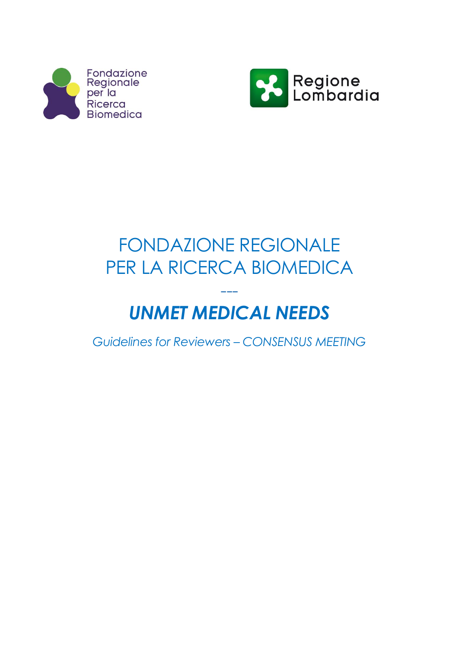



# FONDAZIONE REGIONALE PER LA RICERCA BIOMEDICA

# --- *UNMET MEDICAL NEEDS*

*Guidelines for Reviewers – CONSENSUS MEETING*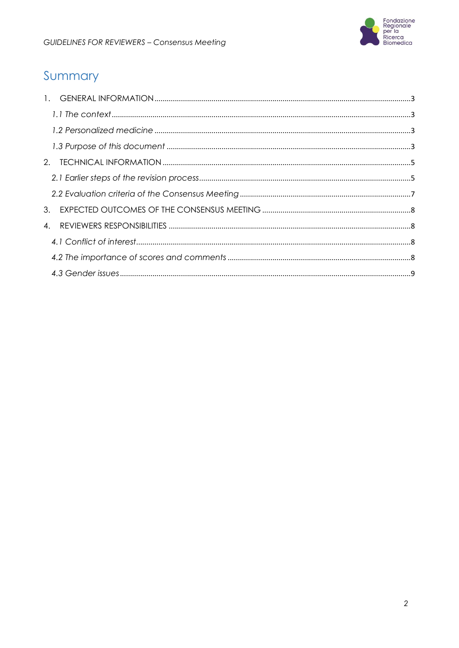

# Summary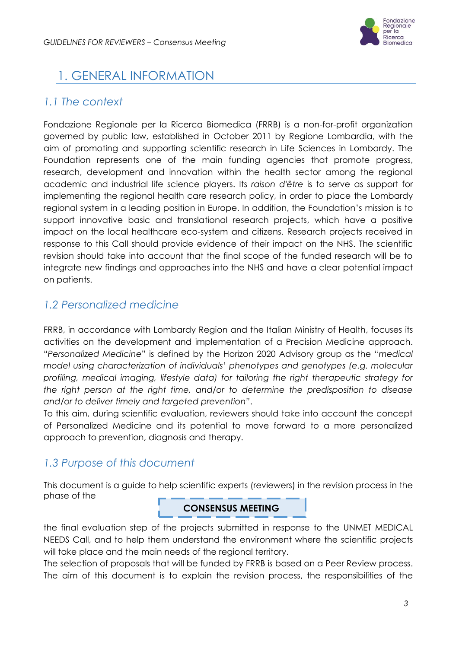

# <span id="page-2-0"></span>1. GENERAL INFORMATION

## <span id="page-2-1"></span>*1.1 The context*

Fondazione Regionale per la Ricerca Biomedica (FRRB) is a non-for-profit organization governed by public law, established in October 2011 by Regione Lombardia, with the aim of promoting and supporting scientific research in Life Sciences in Lombardy. The Foundation represents one of the main funding agencies that promote progress, research, development and innovation within the health sector among the regional academic and industrial life science players. Its *raison d'être* is to serve as support for implementing the regional health care research policy, in order to place the Lombardy regional system in a leading position in Europe. In addition, the Foundation's mission is to support innovative basic and translational research projects, which have a positive impact on the local healthcare eco-system and citizens. Research projects received in response to this Call should provide evidence of their impact on the NHS. The scientific revision should take into account that the final scope of the funded research will be to integrate new findings and approaches into the NHS and have a clear potential impact on patients.

## <span id="page-2-2"></span>*1.2 Personalized medicine*

FRRB, in accordance with Lombardy Region and the Italian Ministry of Health, focuses its activities on the development and implementation of a Precision Medicine approach. "*Personalized Medicine*" is defined by the Horizon 2020 Advisory group as the "*medical model using characterization of individuals' phenotypes and genotypes (e.g. molecular profiling, medical imaging, lifestyle data) for tailoring the right therapeutic strategy for the right person at the right time, and/or to determine the predisposition to disease and/or to deliver timely and targeted prevention"*.

To this aim, during scientific evaluation, reviewers should take into account the concept of Personalized Medicine and its potential to move forward to a more personalized approach to prevention, diagnosis and therapy.

### <span id="page-2-3"></span>*1.3 Purpose of this document*

This document is a guide to help scientific experts (reviewers) in the revision process in the phase of the

#### **CONSENSUS MEETING**

the final evaluation step of the projects submitted in response to the UNMET MEDICAL NEEDS Call, and to help them understand the environment where the scientific projects will take place and the main needs of the regional territory.

The selection of proposals that will be funded by FRRB is based on a Peer Review process. The aim of this document is to explain the revision process, the responsibilities of the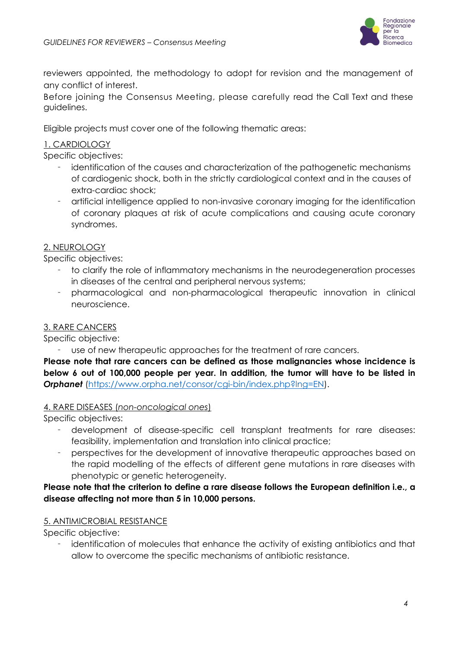

reviewers appointed, the methodology to adopt for revision and the management of any conflict of interest.

Before joining the Consensus Meeting, please carefully read the Call Text and these guidelines.

Eligible projects must cover one of the following thematic areas:

#### 1. CARDIOLOGY

Specific objectives:

- identification of the causes and characterization of the pathogenetic mechanisms of cardiogenic shock, both in the strictly cardiological context and in the causes of extra-cardiac shock;
- artificial intelligence applied to non-invasive coronary imaging for the identification of coronary plaques at risk of acute complications and causing acute coronary syndromes.

#### 2. NEUROLOGY

Specific objectives:

- to clarify the role of inflammatory mechanisms in the neurodegeneration processes in diseases of the central and peripheral nervous systems;
- pharmacological and non-pharmacological therapeutic innovation in clinical neuroscience.

#### 3. RARE CANCERS

Specific objective:

use of new therapeutic approaches for the treatment of rare cancers.

**Please note that rare cancers can be defined as those malignancies whose incidence is below 6 out of 100,000 people per year. In addition, the tumor will have to be listed in Orphanet** [\(https://www.orpha.net/consor/cgi-bin/index.php?lng=EN\)](https://www.orpha.net/consor/cgi-bin/index.php?lng=EN).

#### 4. RARE DISEASES (*non-oncological ones*)

Specific objectives:

- development of disease-specific cell transplant treatments for rare diseases: feasibility, implementation and translation into clinical practice;
- perspectives for the development of innovative therapeutic approaches based on the rapid modelling of the effects of different gene mutations in rare diseases with phenotypic or genetic heterogeneity.

#### **Please note that the criterion to define a rare disease follows the European definition i.e., a disease affecting not more than 5 in 10,000 persons.**

#### 5. ANTIMICROBIAL RESISTANCE

Specific objective:

 identification of molecules that enhance the activity of existing antibiotics and that allow to overcome the specific mechanisms of antibiotic resistance.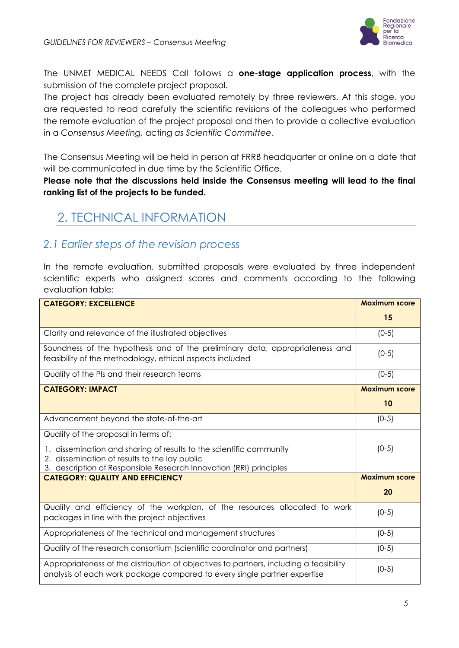

The UNMET MEDICAL NEEDS Call follows a **one-stage application process**, with the submission of the complete project proposal.

The project has already been evaluated remotely by three reviewers. At this stage, you are requested to read carefully the scientific revisions of the colleagues who performed the remote evaluation of the project proposal and then to provide a collective evaluation in a *Consensus Meeting,* acting *as Scientific Committee*.

The Consensus Meeting will be held in person at FRRB headquarter or online on a date that will be communicated in due time by the Scientific Office.

**Please note that the discussions held inside the Consensus meeting will lead to the final ranking list of the projects to be funded.**

# <span id="page-4-0"></span>2. TECHNICAL INFORMATION

### <span id="page-4-1"></span>*2.1 Earlier steps of the revision process*

In the remote evaluation, submitted proposals were evaluated by three independent scientific experts who assigned scores and comments according to the following evaluation table:

| <b>CATEGORY: EXCELLENCE</b>                                                                                                                                        | <b>Maximum score</b> |
|--------------------------------------------------------------------------------------------------------------------------------------------------------------------|----------------------|
|                                                                                                                                                                    | 15                   |
| Clarity and relevance of the illustrated objectives                                                                                                                | $(0-5)$              |
| Soundness of the hypothesis and of the preliminary data, appropriateness and<br>feasibility of the methodology, ethical aspects included                           | $(0-5)$              |
| Quality of the PIs and their research teams                                                                                                                        | $(0-5)$              |
| <b>CATEGORY: IMPACT</b>                                                                                                                                            | <b>Maximum score</b> |
|                                                                                                                                                                    | 10                   |
| Advancement beyond the state-of-the-art                                                                                                                            | $(0-5)$              |
| Quality of the proposal in terms of:                                                                                                                               |                      |
| 1. dissemination and sharing of results to the scientific community<br>2. dissemination of results to the lay public                                               | $(0-5)$              |
| 3. description of Responsible Research Innovation (RRI) principles                                                                                                 |                      |
| <b>CATEGORY: QUALITY AND EFFICIENCY</b>                                                                                                                            | <b>Maximum score</b> |
|                                                                                                                                                                    | 20                   |
| Quality and efficiency of the workplan, of the resources allocated to work<br>packages in line with the project objectives                                         | $(0-5)$              |
| Appropriateness of the technical and management structures                                                                                                         | $(0-5)$              |
| Quality of the research consortium (scientific coordinator and partners)                                                                                           | $(0-5)$              |
| Appropriateness of the distribution of objectives to partners, including a feasibility<br>analysis of each work package compared to every single partner expertise | $(0-5)$              |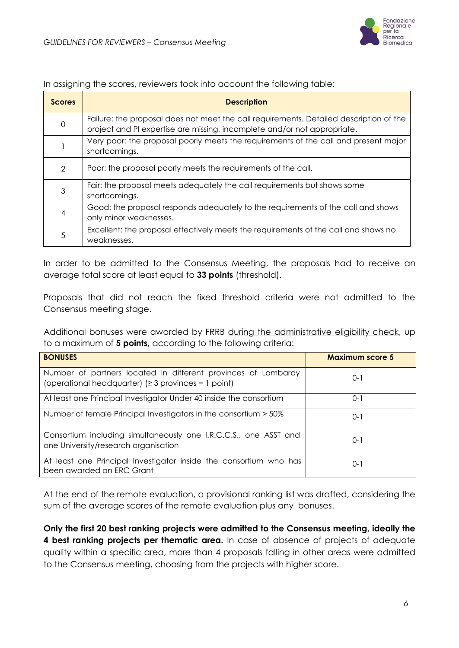

#### In assigning the scores, reviewers took into account the following table:

| <b>Scores</b> | <b>Description</b>                                                                                                                                                 |
|---------------|--------------------------------------------------------------------------------------------------------------------------------------------------------------------|
|               | Failure: the proposal does not meet the call requirements. Detailed description of the<br>project and PI expertise are missing, incomplete and/or not appropriate. |
|               | Very poor: the proposal poorly meets the requirements of the call and present major<br>shortcomings.                                                               |
| $\mathcal{P}$ | Poor: the proposal poorly meets the requirements of the call.                                                                                                      |
| 3             | Fair: the proposal meets adequately the call requirements but shows some<br>shortcomings.                                                                          |
| 4             | Good: the proposal responds adequately to the requirements of the call and shows<br>only minor weaknesses.                                                         |
| 5             | Excellent: the proposal effectively meets the requirements of the call and shows no<br>weaknesses.                                                                 |

In order to be admitted to the Consensus Meeting, the proposals had to receive an average total score at least equal to **33 points** (threshold).

Proposals that did not reach the fixed threshold criteria were not admitted to the Consensus meeting stage.

Additional bonuses were awarded by FRRB during the administrative eligibility check, up to a maximum of **5 points,** according to the following criteria:

| <b>BONUSES</b>                                                                                                             | <b>Maximum score 5</b> |
|----------------------------------------------------------------------------------------------------------------------------|------------------------|
| Number of partners located in different provinces of Lombardy<br>(operational headquarter) ( $\geq$ 3 provinces = 1 point) | $0 - 1$                |
| At least one Principal Investigator Under 40 inside the consortium                                                         | $O-1$                  |
| Number of female Principal Investigators in the consortium > 50%                                                           | $0 - 1$                |
| Consortium including simultaneously one I.R.C.C.S., one ASST and<br>one University/research organisation                   | $0 - 1$                |
| At least one Principal Investigator inside the consortium who has<br>been awarded an ERC Grant                             | $() - 1$               |

At the end of the remote evaluation, a provisional ranking list was drafted, considering the sum of the average scores of the remote evaluation plus any bonuses.

**Only the first 20 best ranking projects were admitted to the Consensus meeting, ideally the 4 best ranking projects per thematic area.** In case of absence of projects of adequate quality within a specific area, more than 4 proposals falling in other areas were admitted to the Consensus meeting, choosing from the projects with higher score.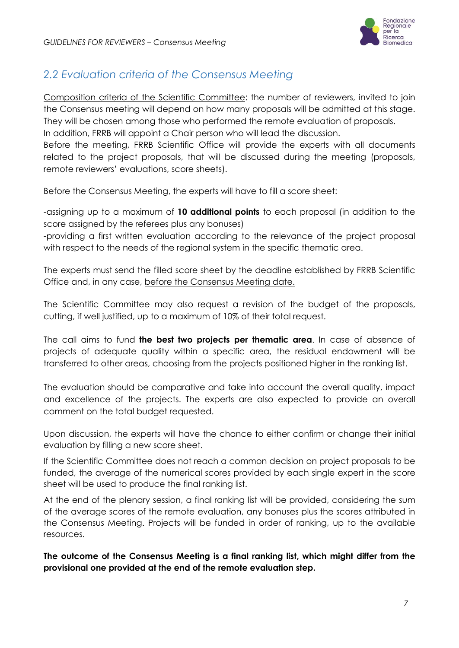

# <span id="page-6-0"></span>*2.2 Evaluation criteria of the Consensus Meeting*

Composition criteria of the Scientific Committee: the number of reviewers, invited to join the Consensus meeting will depend on how many proposals will be admitted at this stage. They will be chosen among those who performed the remote evaluation of proposals. In addition, FRRB will appoint a Chair person who will lead the discussion. Before the meeting, FRRB Scientific Office will provide the experts with all documents related to the project proposals, that will be discussed during the meeting (proposals, remote reviewers' evaluations, score sheets).

Before the Consensus Meeting, the experts will have to fill a score sheet:

-assigning up to a maximum of **10 additional points** to each proposal (in addition to the score assigned by the referees plus any bonuses)

-providing a first written evaluation according to the relevance of the project proposal with respect to the needs of the regional system in the specific thematic area.

The experts must send the filled score sheet by the deadline established by FRRB Scientific Office and, in any case, before the Consensus Meeting date.

The Scientific Committee may also request a revision of the budget of the proposals, cutting, if well justified, up to a maximum of 10% of their total request.

The call aims to fund **the best two projects per thematic area**. In case of absence of projects of adequate quality within a specific area, the residual endowment will be transferred to other areas, choosing from the projects positioned higher in the ranking list.

The evaluation should be comparative and take into account the overall quality, impact and excellence of the projects. The experts are also expected to provide an overall comment on the total budget requested.

Upon discussion, the experts will have the chance to either confirm or change their initial evaluation by filling a new score sheet.

If the Scientific Committee does not reach a common decision on project proposals to be funded, the average of the numerical scores provided by each single expert in the score sheet will be used to produce the final ranking list.

At the end of the plenary session, a final ranking list will be provided, considering the sum of the average scores of the remote evaluation, any bonuses plus the scores attributed in the Consensus Meeting. Projects will be funded in order of ranking, up to the available resources.

**The outcome of the Consensus Meeting is a final ranking list, which might differ from the provisional one provided at the end of the remote evaluation step.**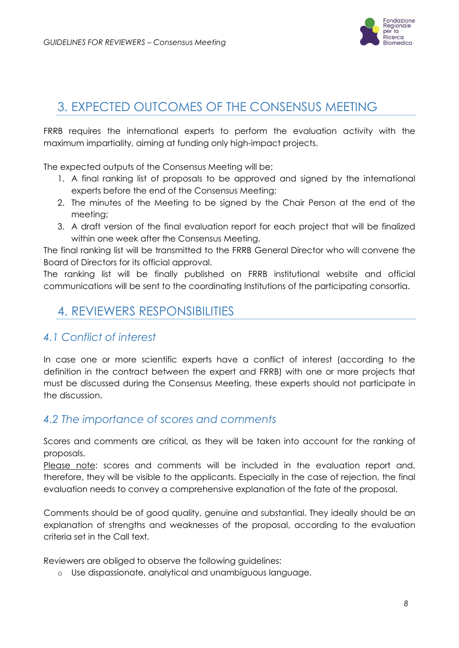

# <span id="page-7-0"></span>3. EXPECTED OUTCOMES OF THE CONSENSUS MEETING

FRRB requires the international experts to perform the evaluation activity with the maximum impartiality, aiming at funding only high-impact projects.

The expected outputs of the Consensus Meeting will be:

- 1. A final ranking list of proposals to be approved and signed by the international experts before the end of the Consensus Meeting;
- 2. The minutes of the Meeting to be signed by the Chair Person at the end of the meeting;
- 3. A draft version of the final evaluation report for each project that will be finalized within one week after the Consensus Meeting.

The final ranking list will be transmitted to the FRRB General Director who will convene the Board of Directors for its official approval.

The ranking list will be finally published on FRRB institutional website and official communications will be sent to the coordinating Institutions of the participating consortia.

# <span id="page-7-1"></span>4. REVIEWERS RESPONSIBILITIES

### <span id="page-7-2"></span>*4.1 Conflict of interest*

In case one or more scientific experts have a conflict of interest (according to the definition in the contract between the expert and FRRB) with one or more projects that must be discussed during the Consensus Meeting, these experts should not participate in the discussion.

### <span id="page-7-3"></span>*4.2 The importance of scores and comments*

Scores and comments are critical, as they will be taken into account for the ranking of proposals.

Please note: scores and comments will be included in the evaluation report and, therefore, they will be visible to the applicants. Especially in the case of rejection, the final evaluation needs to convey a comprehensive explanation of the fate of the proposal.

Comments should be of good quality, genuine and substantial. They ideally should be an explanation of strengths and weaknesses of the proposal, according to the evaluation criteria set in the Call text.

Reviewers are obliged to observe the following guidelines:

o Use dispassionate, analytical and unambiguous language.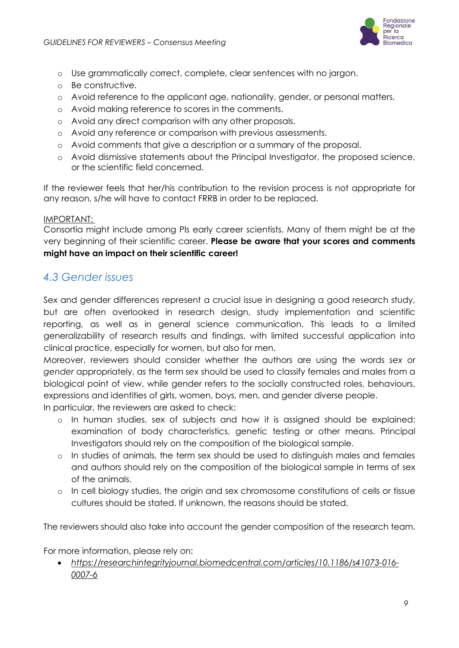

- o Use grammatically correct, complete, clear sentences with no jargon.
- o Be constructive.
- o Avoid reference to the applicant age, nationality, gender, or personal matters.
- o Avoid making reference to scores in the comments.
- o Avoid any direct comparison with any other proposals.
- o Avoid any reference or comparison with previous assessments.
- o Avoid comments that give a description or a summary of the proposal.
- o Avoid dismissive statements about the Principal Investigator, the proposed science, or the scientific field concerned.

If the reviewer feels that her/his contribution to the revision process is not appropriate for any reason, s/he will have to contact FRRB in order to be replaced.

#### IMPORTANT:

Consortia might include among PIs early career scientists. Many of them might be at the very beginning of their scientific career. **Please be aware that your scores and comments might have an impact on their scientific career!** 

### <span id="page-8-0"></span>*4.3 Gender issues*

Sex and gender differences represent a crucial issue in designing a good research study, but are often overlooked in research design, study implementation and scientific reporting, as well as in general science communication. This leads to a limited generalizability of research results and findings, with limited successful application into clinical practice, especially for women, but also for men.

Moreover, reviewers should consider whether the authors are using the words *sex* or *gender* appropriately, as the term *sex* should be used to classify females and males from a biological point of view, while gender refers to the socially constructed roles, behaviours, expressions and identities of girls, women, boys, men, and gender diverse people.

In particular, the reviewers are asked to check:

- o In human studies, sex of subjects and how it is assigned should be explained: examination of body characteristics, genetic testing or other means. Principal Investigators should rely on the composition of the biological sample.
- o In studies of animals, the term sex should be used to distinguish males and females and authors should rely on the composition of the biological sample in terms of sex of the animals.
- o In cell biology studies, the origin and sex chromosome constitutions of cells or tissue cultures should be stated. If unknown, the reasons should be stated.

The reviewers should also take into account the gender composition of the research team.

For more information, please rely on:

• *[https://researchintegrityjournal.biomedcentral.com/articles/10.1186/s41073-016-](https://researchintegrityjournal.biomedcentral.com/articles/10.1186/s41073-016-0007-6) [0007-6](https://researchintegrityjournal.biomedcentral.com/articles/10.1186/s41073-016-0007-6)*